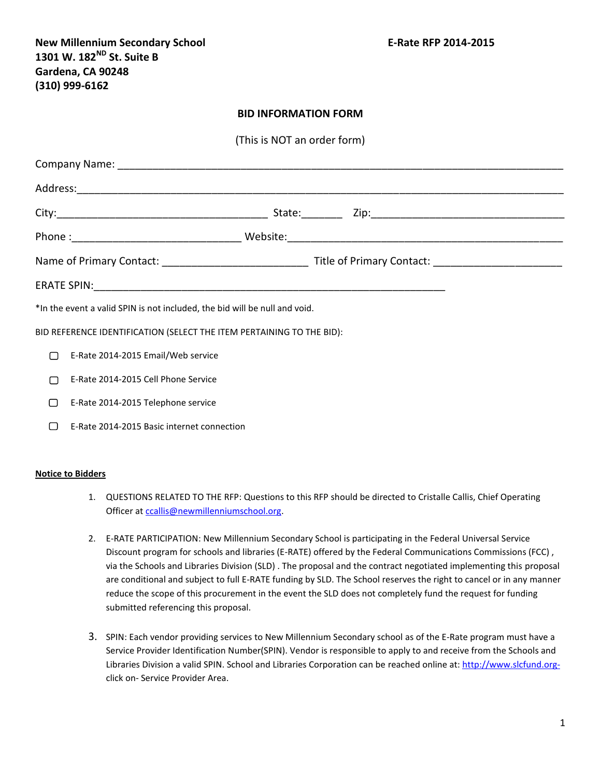New Millennium Secondary School **New Millennium Secondary School** E-Rate RFP 2014-2015 **1301 W. 182ND St. Suite B Gardena, CA 90248 (310) 999-6162**

## **BID INFORMATION FORM**

(This is NOT an order form)

|        | *In the event a valid SPIN is not included, the bid will be null and void. |  |  |  |
|--------|----------------------------------------------------------------------------|--|--|--|
|        | BID REFERENCE IDENTIFICATION (SELECT THE ITEM PERTAINING TO THE BID):      |  |  |  |
| $\Box$ | E-Rate 2014-2015 Email/Web service                                         |  |  |  |
| $\Box$ | E-Rate 2014-2015 Cell Phone Service                                        |  |  |  |
| □      | E-Rate 2014-2015 Telephone service                                         |  |  |  |

E-Rate 2014-2015 Basic internet connection

## **Notice to Bidders**

- 1. QUESTIONS RELATED TO THE RFP: Questions to this RFP should be directed to Cristalle Callis, Chief Operating Officer at [ccallis@newmillenniumschool.org.](mailto:ccallis@newmillenniumschool.org)
- 2. E-RATE PARTICIPATION: New Millennium Secondary School is participating in the Federal Universal Service Discount program for schools and libraries (E-RATE) offered by the Federal Communications Commissions (FCC) , via the Schools and Libraries Division (SLD) . The proposal and the contract negotiated implementing this proposal are conditional and subject to full E-RATE funding by SLD. The School reserves the right to cancel or in any manner reduce the scope of this procurement in the event the SLD does not completely fund the request for funding submitted referencing this proposal.
- 3. SPIN: Each vendor providing services to New Millennium Secondary school as of the E-Rate program must have a Service Provider Identification Number(SPIN). Vendor is responsible to apply to and receive from the Schools and Libraries Division a valid SPIN. School and Libraries Corporation can be reached online at: [http://www.slcfund.org](http://www.slcfund.org-/)click on- Service Provider Area.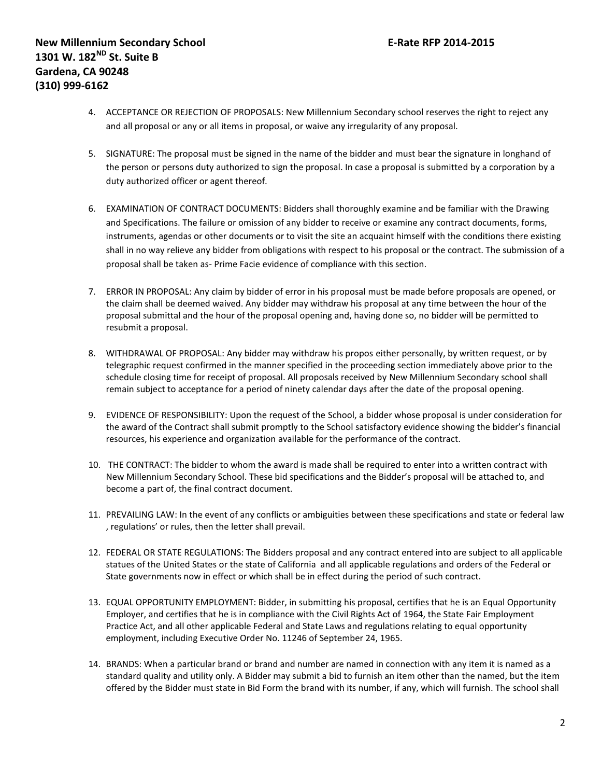- 4. ACCEPTANCE OR REJECTION OF PROPOSALS: New Millennium Secondary school reserves the right to reject any and all proposal or any or all items in proposal, or waive any irregularity of any proposal.
- 5. SIGNATURE: The proposal must be signed in the name of the bidder and must bear the signature in longhand of the person or persons duty authorized to sign the proposal. In case a proposal is submitted by a corporation by a duty authorized officer or agent thereof.
- 6. EXAMINATION OF CONTRACT DOCUMENTS: Bidders shall thoroughly examine and be familiar with the Drawing and Specifications. The failure or omission of any bidder to receive or examine any contract documents, forms, instruments, agendas or other documents or to visit the site an acquaint himself with the conditions there existing shall in no way relieve any bidder from obligations with respect to his proposal or the contract. The submission of a proposal shall be taken as- Prime Facie evidence of compliance with this section.
- 7. ERROR IN PROPOSAL: Any claim by bidder of error in his proposal must be made before proposals are opened, or the claim shall be deemed waived. Any bidder may withdraw his proposal at any time between the hour of the proposal submittal and the hour of the proposal opening and, having done so, no bidder will be permitted to resubmit a proposal.
- 8. WITHDRAWAL OF PROPOSAL: Any bidder may withdraw his propos either personally, by written request, or by telegraphic request confirmed in the manner specified in the proceeding section immediately above prior to the schedule closing time for receipt of proposal. All proposals received by New Millennium Secondary school shall remain subject to acceptance for a period of ninety calendar days after the date of the proposal opening.
- 9. EVIDENCE OF RESPONSIBILITY: Upon the request of the School, a bidder whose proposal is under consideration for the award of the Contract shall submit promptly to the School satisfactory evidence showing the bidder's financial resources, his experience and organization available for the performance of the contract.
- 10. THE CONTRACT: The bidder to whom the award is made shall be required to enter into a written contract with New Millennium Secondary School. These bid specifications and the Bidder's proposal will be attached to, and become a part of, the final contract document.
- 11. PREVAILING LAW: In the event of any conflicts or ambiguities between these specifications and state or federal law , regulations' or rules, then the letter shall prevail.
- 12. FEDERAL OR STATE REGULATIONS: The Bidders proposal and any contract entered into are subject to all applicable statues of the United States or the state of California and all applicable regulations and orders of the Federal or State governments now in effect or which shall be in effect during the period of such contract.
- 13. EQUAL OPPORTUNITY EMPLOYMENT: Bidder, in submitting his proposal, certifies that he is an Equal Opportunity Employer, and certifies that he is in compliance with the Civil Rights Act of 1964, the State Fair Employment Practice Act, and all other applicable Federal and State Laws and regulations relating to equal opportunity employment, including Executive Order No. 11246 of September 24, 1965.
- 14. BRANDS: When a particular brand or brand and number are named in connection with any item it is named as a standard quality and utility only. A Bidder may submit a bid to furnish an item other than the named, but the item offered by the Bidder must state in Bid Form the brand with its number, if any, which will furnish. The school shall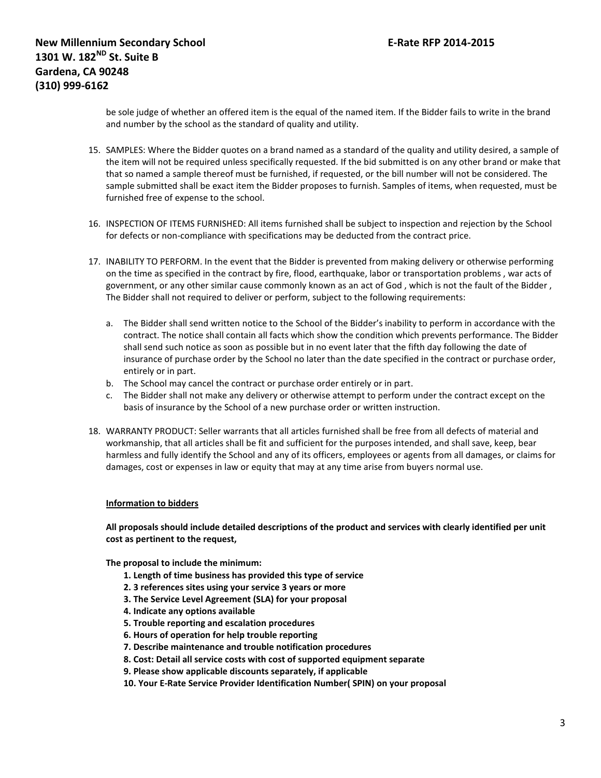be sole judge of whether an offered item is the equal of the named item. If the Bidder fails to write in the brand and number by the school as the standard of quality and utility.

- 15. SAMPLES: Where the Bidder quotes on a brand named as a standard of the quality and utility desired, a sample of the item will not be required unless specifically requested. If the bid submitted is on any other brand or make that that so named a sample thereof must be furnished, if requested, or the bill number will not be considered. The sample submitted shall be exact item the Bidder proposes to furnish. Samples of items, when requested, must be furnished free of expense to the school.
- 16. INSPECTION OF ITEMS FURNISHED: All items furnished shall be subject to inspection and rejection by the School for defects or non-compliance with specifications may be deducted from the contract price.
- 17. INABILITY TO PERFORM. In the event that the Bidder is prevented from making delivery or otherwise performing on the time as specified in the contract by fire, flood, earthquake, labor or transportation problems , war acts of government, or any other similar cause commonly known as an act of God , which is not the fault of the Bidder , The Bidder shall not required to deliver or perform, subject to the following requirements:
	- a. The Bidder shall send written notice to the School of the Bidder's inability to perform in accordance with the contract. The notice shall contain all facts which show the condition which prevents performance. The Bidder shall send such notice as soon as possible but in no event later that the fifth day following the date of insurance of purchase order by the School no later than the date specified in the contract or purchase order, entirely or in part.
	- b. The School may cancel the contract or purchase order entirely or in part.
	- c. The Bidder shall not make any delivery or otherwise attempt to perform under the contract except on the basis of insurance by the School of a new purchase order or written instruction.
- 18. WARRANTY PRODUCT: Seller warrants that all articles furnished shall be free from all defects of material and workmanship, that all articles shall be fit and sufficient for the purposes intended, and shall save, keep, bear harmless and fully identify the School and any of its officers, employees or agents from all damages, or claims for damages, cost or expenses in law or equity that may at any time arise from buyers normal use.

## **Information to bidders**

**All proposals should include detailed descriptions of the product and services with clearly identified per unit cost as pertinent to the request,**

**The proposal to include the minimum:**

- **1. Length of time business has provided this type of service**
- **2. 3 references sites using your service 3 years or more**
- **3. The Service Level Agreement (SLA) for your proposal**
- **4. Indicate any options available**
- **5. Trouble reporting and escalation procedures**
- **6. Hours of operation for help trouble reporting**
- **7. Describe maintenance and trouble notification procedures**
- **8. Cost: Detail all service costs with cost of supported equipment separate**
- **9. Please show applicable discounts separately, if applicable**
- **10. Your E-Rate Service Provider Identification Number( SPIN) on your proposal**